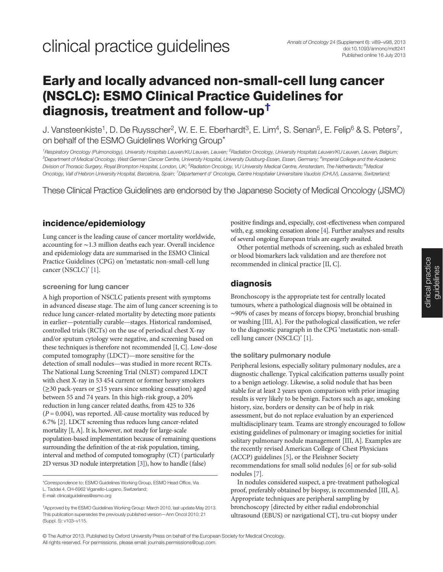## Early and locally advanced non-small-cell lung cancer (NSCLC): ESMO Clinical Practice Guidelines for diagnosis, treatment and follow-up†

J. Vansteenkiste<sup>1</sup>, D. De Ruysscher<sup>2</sup>, W. E. E. Eberhardt<sup>3</sup>, E. Lim<sup>4</sup>, S. Senan<sup>5</sup>, E. Felip<sup>6</sup> & S. Peters<sup>7</sup>, on behalf of the ESMO Guidelines Working Group\*

<sup>1</sup>Respiratory Oncology (Pulmonology), University Hospitals Leuven/KU Leuven, Leuven; <sup>2</sup>Radiation Oncology, University Hospitals Leuven/KU Leuven, Leuven, Belgium; <sup>3</sup>Department of Medical Oncology, West German Cancer Centre, University Hospital, University Duisburg-Essen, Essen, Germany; <sup>4</sup>Imperial College and the Academic Division of Thoracic Surgery, Royal Brompton Hospital, London, UK; <sup>5</sup>Radiation Oncology, VU University Medical Centre, Amsterdam, The Netherlands; <sup>6</sup>Medica. Oncology, Vall d'Hebron University Hospital, Barcelona, Spain; <sup>7</sup>Département d' Oncologie, Centre Hospitalier Universitaire Vaudois (CHUV), Lausanne, Switzerland;

These Clinical Practice Guidelines are endorsed by the Japanese Society of Medical Oncology (JSMO)

## incidence/epidemiology

Lung cancer is the leading cause of cancer mortality worldwide, accounting for ∼1.3 million deaths each year. Overall incidence and epidemiology data are summarised in the ESMO Clinical Practice Guidelines (CPG) on 'metastatic non-small-cell lung cancer (NSCLC)' [[1\]](#page-7-0).

### screening for lung cancer

A high proportion of NSCLC patients present with symptoms in advanced disease stage. The aim of lung cancer screening is to reduce lung cancer-related mortality by detecting more patients in earlier—potentially curable—stages. Historical randomised, controlled trials (RCTs) on the use of periodical chest X-ray and/or sputum cytology were negative, and screening based on these techniques is therefore not recommended [I, C]. Low-dose computed tomography (LDCT)—more sensitive for the detection of small nodules—was studied in more recent RCTs. The National Lung Screening Trial (NLST) compared LDCT with chest X-ray in 53 454 current or former heavy smokers (≥30 pack-years or ≤15 years since smoking cessation) aged between 55 and 74 years. In this high-risk group, a 20% reduction in lung cancer related deaths, from 425 to 326  $(P = 0.004)$ , was reported. All-cause mortality was reduced by 6.7% [[2](#page-7-0)]. LDCT screening thus reduces lung cancer-related mortality [I, A]. It is, however, not ready for large-scale population-based implementation because of remaining questions surrounding the definition of the at-risk population, timing, interval and method of computed tomography (CT) (particularly 2D versus 3D nodule interpretation [\[3](#page-7-0)]), how to handle (false)

positive findings and, especially, cost-effectiveness when compared with, e.g. smoking cessation alone [[4](#page-7-0)]. Further analyses and results of several ongoing European trials are eagerly awaited.

Other potential methods of screening, such as exhaled breath or blood biomarkers lack validation and are therefore not recommended in clinical practice [II, C].

## diagnosis

Bronchoscopy is the appropriate test for centrally located tumours, where a pathological diagnosis will be obtained in ∼90% of cases by means of forceps biopsy, bronchial brushing or washing [III, A]. For the pathological classification, we refer to the diagnostic paragraph in the CPG 'metastatic non-smallcell lung cancer (NSCLC)' [[1](#page-7-0)].

### the solitary pulmonary nodule

Peripheral lesions, especially solitary pulmonary nodules, are a diagnostic challenge. Typical calcification patterns usually point to a benign aetiology. Likewise, a solid nodule that has been stable for at least 2 years upon comparison with prior imaging results is very likely to be benign. Factors such as age, smoking history, size, borders or density can be of help in risk assessment, but do not replace evaluation by an experienced multidisciplinary team. Teams are strongly encouraged to follow existing guidelines of pulmonary or imaging societies for initial solitary pulmonary nodule management [III, A]. Examples are the recently revised American College of Chest Physicians (ACCP) guidelines [\[5\]](#page-7-0), or the Fleishner Society recommendations for small solid nodules [\[6\]](#page-7-0) or for sub-solid nodules [\[7\]](#page-7-0).

In nodules considered suspect, a pre-treatment pathological proof, preferably obtained by biopsy, is recommended [III, A]. Appropriate techniques are peripheral sampling by bronchoscopy [directed by either radial endobronchial ultrasound (EBUS) or navigational CT], tru-cut biopsy under

<sup>\*</sup>Correspondence to: ESMO Guidelines Working Group, ESMO Head Office, Via L. Taddei 4, CH-6962 Viganello-Lugano, Switzerland; E-mail: clinicalguidelines@esmo.org

<sup>†</sup> Approved by the ESMO Guidelines Working Group: March 2010, last update May 2013. This publication supersedes the previously published version—Ann Oncol 2010; 21 (Suppl. 5): v103–v115.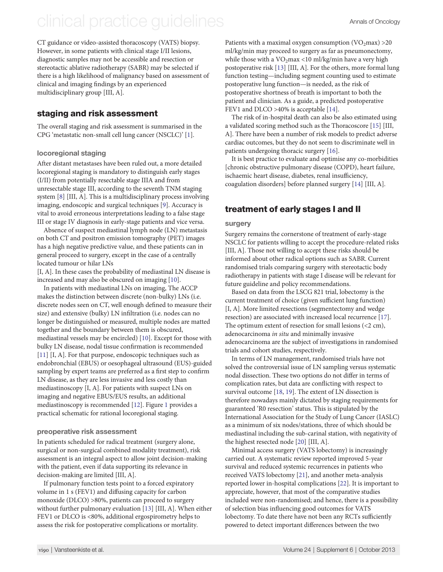## clinical practice quidelines and the Annals of Oncology

CT guidance or video-assisted thoracoscopy (VATS) biopsy. However, in some patients with clinical stage I/II lesions, diagnostic samples may not be accessible and resection or stereotactic ablative radiotherapy (SABR) may be selected if there is a high likelihood of malignancy based on assessment of clinical and imaging findings by an experienced multidisciplinary group [III, A].

## staging and risk assessment

The overall staging and risk assessment is summarised in the CPG 'metastatic non-small cell lung cancer (NSCLC)' [[1](#page-7-0)].

### locoregional staging

After distant metastases have been ruled out, a more detailed locoregional staging is mandatory to distinguish early stages (I/II) from potentially resectable stage IIIA and from unresectable stage III, according to the seventh TNM staging system [\[8\]](#page-8-0) [III, A]. This is a multidisciplinary process involving imaging, endoscopic and surgical techniques [[9](#page-8-0)]. Accuracy is vital to avoid erroneous interpretations leading to a false stage III or stage IV diagnosis in early-stage patients and vice versa.

Absence of suspect mediastinal lymph node (LN) metastasis on both CT and positron emission tomography (PET) images has a high negative predictive value, and these patients can in general proceed to surgery, except in the case of a centrally located tumour or hilar LNs

[I, A]. In these cases the probability of mediastinal LN disease is increased and may also be obscured on imaging [[10\]](#page-8-0).

In patients with mediastinal LNs on imaging, The ACCP makes the distinction between discrete (non-bulky) LNs (i.e. discrete nodes seen on CT, well enough defined to measure their size) and extensive (bulky) LN infiltration (i.e. nodes can no longer be distinguished or measured, multiple nodes are matted together and the boundary between them is obscured, mediastinal vessels may be encircled) [\[10](#page-8-0)]. Except for those with bulky LN disease, nodal tissue confirmation is recommended [[11\]](#page-8-0) [I, A]. For that purpose, endoscopic techniques such as endobronchial (EBUS) or oesophageal ultrasound (EUS)-guided sampling by expert teams are preferred as a first step to confirm LN disease, as they are less invasive and less costly than mediastinoscopy [I, A]. For patients with suspect LNs on imaging and negative EBUS/EUS results, an additional mediastinoscopy is recommended [[12\]](#page-8-0). Figure [1](#page-2-0) provides a practical schematic for rational locoregional staging.

### preoperative risk assessment

In patients scheduled for radical treatment (surgery alone, surgical or non-surgical combined modality treatment), risk assessment is an integral aspect to allow joint decision-making with the patient, even if data supporting its relevance in decision-making are limited [III, A].

If pulmonary function tests point to a forced expiratory volume in 1 s (FEV1) and diffusing capacity for carbon monoxide (DLCO) >80%, patients can proceed to surgery without further pulmonary evaluation [\[13](#page-8-0)] [III, A]. When either FEV1 or DLCO is <80%, additional ergospirometry helps to assess the risk for postoperative complications or mortality.

Patients with a maximal oxygen consumption  $(VO_2$ max) >20 ml/kg/min may proceed to surgery as far as pneumonectomy, while those with a  $VO<sub>2</sub>max <10$  ml/kg/min have a very high postoperative risk [\[13](#page-8-0)] [III, A]. For the others, more formal lung function testing—including segment counting used to estimate postoperative lung function—is needed, as the risk of postoperative shortness of breath is important to both the patient and clinician. As a guide, a predicted postoperative FEV1 and DLCO >40% is acceptable [[14\]](#page-8-0).

The risk of in-hospital death can also be also estimated using a validated scoring method such as the Thoracoscore [[15](#page-8-0)] [III, A]. There have been a number of risk models to predict adverse cardiac outcomes, but they do not seem to discriminate well in patients undergoing thoracic surgery [[16](#page-8-0)].

It is best practice to evaluate and optimise any co-morbidities [chronic obstructive pulmonary disease (COPD), heart failure, ischaemic heart disease, diabetes, renal insufficiency, coagulation disorders] before planned surgery [[14\]](#page-8-0) [III, A].

## treatment of early stages I and II

### surgery

Surgery remains the cornerstone of treatment of early-stage NSCLC for patients willing to accept the procedure-related risks [III, A]. Those not willing to accept these risks should be informed about other radical options such as SABR. Current randomised trials comparing surgery with stereotactic body radiotherapy in patients with stage I disease will be relevant for future guideline and policy recommendations.

Based on data from the LSCG 821 trial, lobectomy is the current treatment of choice (given sufficient lung function) [I, A]. More limited resections (segmentectomy and wedge resection) are associated with increased local recurrence [\[17](#page-8-0)]. The optimum extent of resection for small lesions (<2 cm), adenocarcinoma in situ and minimally invasive adenocarcinoma are the subject of investigations in randomised trials and cohort studies, respectively.

In terms of LN management, randomised trials have not solved the controversial issue of LN sampling versus systematic nodal dissection. These two options do not differ in terms of complication rates, but data are conflicting with respect to survival outcome [[18,](#page-8-0) [19](#page-8-0)]. The extent of LN dissection is therefore nowadays mainly dictated by staging requirements for guaranteed 'R0 resection' status. This is stipulated by the International Association for the Study of Lung Cancer (IASLC) as a minimum of six nodes/stations, three of which should be mediastinal including the sub-carinal station, with negativity of the highest resected node [\[20\]](#page-8-0) [III, A].

Minimal access surgery (VATS lobectomy) is increasingly carried out. A systematic review reported improved 5-year survival and reduced systemic recurrences in patients who received VATS lobectomy [\[21](#page-8-0)], and another meta-analysis reported lower in-hospital complications [\[22](#page-8-0)]. It is important to appreciate, however, that most of the comparative studies included were non-randomised; and hence, there is a possibility of selection bias influencing good outcomes for VATS lobectomy. To date there have not been any RCTs sufficiently powered to detect important differences between the two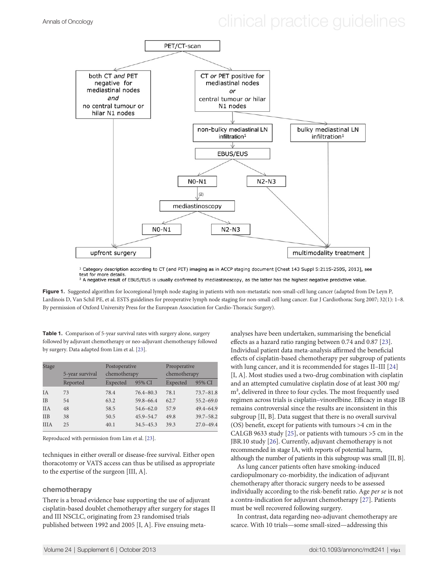<span id="page-2-0"></span>

<sup>1</sup> Category description according to CT (and PET) imaging as in ACCP staging document [Chest 143 Suppl 5:211S-250S, 2013], see text for more details. <sup>2</sup> A negative result of EBUS/EUS is usually confirmed by mediastinoscopy, as the latter has the highest negative predictive value.

Figure 1. Suggested algorithm for locoregional lymph node staging in patients with non-metastatic non-small-cell lung cancer (adapted from De Leyn P, Lardinois D, Van Schil PE, et al. ESTS guidelines for preoperative lymph node staging for non-small cell lung cancer. Eur J Cardiothorac Surg 2007; 32(1): 1–8. By permission of Oxford University Press for the European Association for Cardio-Thoracic Surgery).

Table 1. Comparison of 5-year survival rates with surgery alone, surgery followed by adjuvant chemotherapy or neo-adjuvant chemotherapy followed by surgery. Data adapted from Lim et al. [[23](#page-8-0)].

| Stage<br>5-year survival |          | Postoperative<br>chemotherapy |               | Preoperative<br>chemotherapy |               |
|--------------------------|----------|-------------------------------|---------------|------------------------------|---------------|
|                          | Reported | Expected                      | 95% CI        | Expected                     | 95% CI        |
| <b>IA</b>                | 73       | 78.4                          | $76.4 - 80.3$ | 78.1                         | $73.7 - 81.8$ |
| <b>IB</b>                | 54       | 63.2                          | $59.8 - 66.4$ | 62.7                         | $55.2 - 69.0$ |
| <b>IIA</b>               | 48       | 58.5                          | $54.6 - 62.0$ | 57.9                         | $49.4 - 64.9$ |
| <b>IIB</b>               | 38       | 50.5                          | $45.9 - 54.7$ | 49.8                         | $39.7 - 58.2$ |
| <b>IIIA</b>              | 25       | 40.1                          | $34.5 - 45.3$ | 39.3                         | $27.0 - 49.4$ |

Reproduced with permission from Lim et al. [\[23\]](#page-8-0).

techniques in either overall or disease-free survival. Either open thoracotomy or VATS access can thus be utilised as appropriate to the expertise of the surgeon [III, A].

### chemotherapy

There is a broad evidence base supporting the use of adjuvant cisplatin-based doublet chemotherapy after surgery for stages II and III NSCLC, originating from 23 randomised trials published between 1992 and 2005 [I, A]. Five ensuing metaanalyses have been undertaken, summarising the beneficial effects as a hazard ratio ranging between 0.74 and 0.87 [[23](#page-8-0)]. Individual patient data meta-analysis affirmed the beneficial effects of cisplatin-based chemotherapy per subgroup of patients with lung cancer, and it is recommended for stages II–III [\[24](#page-8-0)] [I, A]. Most studies used a two-drug combination with cisplatin and an attempted cumulative cisplatin dose of at least 300 mg/ m², delivered in three to four cycles. The most frequently used regimen across trials is cisplatin–vinorelbine. Efficacy in stage IB remains controversial since the results are inconsistent in this subgroup [II, B]. Data suggest that there is no overall survival (OS) benefit, except for patients with tumours >4 cm in the CALGB 9633 study [\[25\]](#page-8-0), or patients with tumours >5 cm in the JBR.10 study [[26\]](#page-8-0). Currently, adjuvant chemotherapy is not recommended in stage IA, with reports of potential harm, although the number of patients in this subgroup was small [II, B].

As lung cancer patients often have smoking-induced cardiopulmonary co-morbidity, the indication of adjuvant chemotherapy after thoracic surgery needs to be assessed individually according to the risk-benefit ratio. Age per se is not a contra-indication for adjuvant chemotherapy [[27](#page-8-0)]. Patients must be well recovered following surgery.

In contrast, data regarding neo-adjuvant chemotherapy are scarce. With 10 trials—some small-sized—addressing this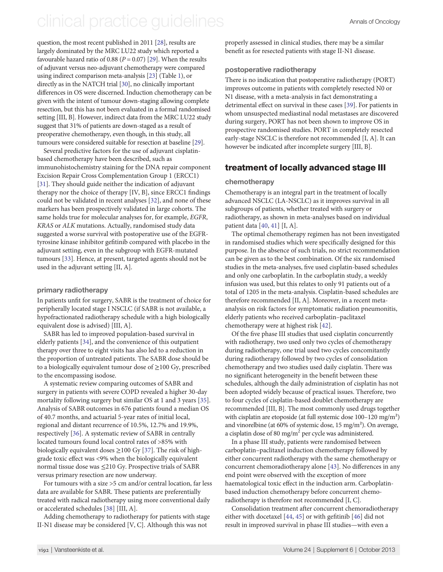## clinical practice quidelines and the Annals of Oncology

question, the most recent published in 2011 [\[28](#page-8-0)], results are largely dominated by the MRC LU22 study which reported a favourable hazard ratio of 0.88 ( $P = 0.07$ ) [[29](#page-8-0)]. When the results of adjuvant versus neo-adjuvant chemotherapy were compared using indirect comparison meta-analysis [[23\]](#page-8-0) (Table [1](#page-2-0)), or directly as in the NATCH trial [\[30\]](#page-8-0), no clinically important differences in OS were discerned. Induction chemotherapy can be given with the intent of tumour down-staging allowing complete resection, but this has not been evaluated in a formal randomised setting [III, B]. However, indirect data from the MRC LU22 study suggest that 31% of patients are down-staged as a result of preoperative chemotherapy, even though, in this study, all tumours were considered suitable for resection at baseline [[29\]](#page-8-0).

Several predictive factors for the use of adjuvant cisplatinbased chemotherapy have been described, such as immunohistochemistry staining for the DNA repair component Excision Repair Cross Complementation Group 1 (ERCC1) [[31\]](#page-8-0). They should guide neither the indication of adjuvant therapy nor the choice of therapy [IV, B], since ERCC1 findings could not be validated in recent analyses [\[32](#page-8-0)], and none of these markers has been prospectively validated in large cohorts. The same holds true for molecular analyses for, for example, EGFR, KRAS or ALK mutations. Actually, randomised study data suggested a worse survival with postoperative use of the EGFRtyrosine kinase inhibitor gefitinib compared with placebo in the adjuvant setting, even in the subgroup with EGFR-mutated tumours [[33](#page-8-0)]. Hence, at present, targeted agents should not be used in the adjuvant setting [II, A].

#### primary radiotherapy

In patients unfit for surgery, SABR is the treatment of choice for peripherally located stage I NSCLC (if SABR is not available, a hypofractionated radiotherapy schedule with a high biologically equivalent dose is advised) [III, A].

SABR has led to improved population-based survival in elderly patients [\[34](#page-8-0)], and the convenience of this outpatient therapy over three to eight visits has also led to a reduction in the proportion of untreated patients. The SABR dose should be to a biologically equivalent tumour dose of ≥100 Gy, prescribed to the encompassing isodose.

A systematic review comparing outcomes of SABR and surgery in patients with severe COPD revealed a higher 30-day mortality following surgery but similar OS at 1 and 3 years [[35\]](#page-8-0). Analysis of SABR outcomes in 676 patients found a median OS of 40.7 months, and actuarial 5-year rates of initial local, regional and distant recurrence of 10.5%, 12.7% and 19.9%, respectively [[36\]](#page-8-0). A systematic review of SABR in centrally located tumours found local control rates of >85% with biologically equivalent doses  $\geq$ 100 Gy [[37\]](#page-8-0). The risk of highgrade toxic effect was <9% when the biologically equivalent normal tissue dose was ≤210 Gy. Prospective trials of SABR versus primary resection are now underway.

For tumours with a size >5 cm and/or central location, far less data are available for SABR. These patients are preferentially treated with radical radiotherapy using more conventional daily or accelerated schedules [[38\]](#page-8-0) [III, A].

Adding chemotherapy to radiotherapy for patients with stage II-N1 disease may be considered [V, C]. Although this was not

properly assessed in clinical studies, there may be a similar benefit as for resected patients with stage II-N1 disease.

#### postoperative radiotherapy

There is no indication that postoperative radiotherapy (PORT) improves outcome in patients with completely resected N0 or N1 disease, with a meta-analysis in fact demonstrating a detrimental effect on survival in these cases [\[39](#page-8-0)]. For patients in whom unsuspected mediastinal nodal metastases are discovered during surgery, PORT has not been shown to improve OS in prospective randomised studies. PORT in completely resected early-stage NSCLC is therefore not recommended [I, A]. It can however be indicated after incomplete surgery [III, B].

### treatment of locally advanced stage III

#### chemotherapy

Chemotherapy is an integral part in the treatment of locally advanced NSCLC (LA-NSCLC) as it improves survival in all subgroups of patients, whether treated with surgery or radiotherapy, as shown in meta-analyses based on individual patient data [\[40](#page-8-0), [41\]](#page-8-0) [I, A].

The optimal chemotherapy regimen has not been investigated in randomised studies which were specifically designed for this purpose. In the absence of such trials, no strict recommendation can be given as to the best combination. Of the six randomised studies in the meta-analyses, five used cisplatin-based schedules and only one carboplatin. In the carboplatin study, a weekly infusion was used, but this relates to only 91 patients out of a total of 1205 in the meta-analysis. Cisplatin-based schedules are therefore recommended [II, A]. Moreover, in a recent metaanalysis on risk factors for symptomatic radiation pneumonitis, elderly patients who received carboplatin–paclitaxel chemotherapy were at highest risk [\[42](#page-8-0)].

Of the five phase III studies that used cisplatin concurrently with radiotherapy, two used only two cycles of chemotherapy during radiotherapy, one trial used two cycles concomitantly during radiotherapy followed by two cycles of consolidation chemotherapy and two studies used daily cisplatin. There was no significant heterogeneity in the benefit between these schedules, although the daily administration of cisplatin has not been adopted widely because of practical issues. Therefore, two to four cycles of cisplatin-based doublet chemotherapy are recommended [III, B]. The most commonly used drugs together with cisplatin are etoposide (at full systemic dose 100–120 mg/m²) and vinorelbine (at 60% of systemic dose, 15 mg/m²). On average, a cisplatin dose of 80 mg/m<sup>2</sup> per cycle was administered.

In a phase III study, patients were randomised between carboplatin–paclitaxel induction chemotherapy followed by either concurrent radiotherapy with the same chemotherapy or concurrent chemoradiotherapy alone [[43\]](#page-8-0). No differences in any end point were observed with the exception of more haematological toxic effect in the induction arm. Carboplatinbased induction chemotherapy before concurrent chemoradiotherapy is therefore not recommended [I, C].

Consolidation treatment after concurrent chemoradiotherapy either with docetaxel [\[44](#page-8-0), [45\]](#page-8-0) or with gefitinib [\[46](#page-8-0)] did not result in improved survival in phase III studies—with even a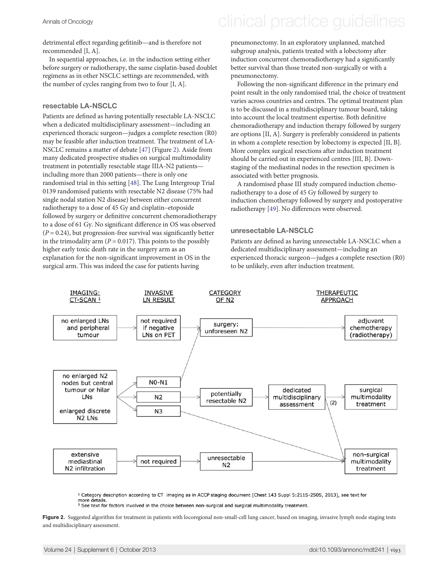detrimental effect regarding gefitinib—and is therefore not recommended [I, A].

In sequential approaches, i.e. in the induction setting either before surgery or radiotherapy, the same cisplatin-based doublet regimens as in other NSCLC settings are recommended, with the number of cycles ranging from two to four [I, A].

### resectable LA-NSCLC

Patients are defined as having potentially resectable LA-NSCLC when a dedicated multidisciplinary assessment—including an experienced thoracic surgeon—judges a complete resection (R0) may be feasible after induction treatment. The treatment of LA-NSCLC remains a matter of debate [\[47\]](#page-9-0) (Figure 2). Aside from many dedicated prospective studies on surgical multimodality treatment in potentially resectable stage IIIA-N2 patients including more than 2000 patients—there is only one randomised trial in this setting [\[48](#page-9-0)]. The Lung Intergroup Trial 0139 randomised patients with resectable N2 disease (75% had single nodal station N2 disease) between either concurrent radiotherapy to a dose of 45 Gy and cisplatin–etoposide followed by surgery or definitive concurrent chemoradiotherapy to a dose of 61 Gy. No significant difference in OS was observed  $(P = 0.24)$ , but progression-free survival was significantly better in the trimodality arm ( $P = 0.017$ ). This points to the possibly higher early toxic death rate in the surgery arm as an explanation for the non-significant improvement in OS in the surgical arm. This was indeed the case for patients having

pneumonectomy. In an exploratory unplanned, matched subgroup analysis, patients treated with a lobectomy after induction concurrent chemoradiotherapy had a significantly better survival than those treated non-surgically or with a pneumonectomy.

Following the non-significant difference in the primary end point result in the only randomised trial, the choice of treatment varies across countries and centres. The optimal treatment plan is to be discussed in a multidisciplinary tumour board, taking into account the local treatment expertise. Both definitive chemoradiotherapy and induction therapy followed by surgery are options [II, A]. Surgery is preferably considered in patients in whom a complete resection by lobectomy is expected [II, B]. More complex surgical resections after induction treatment should be carried out in experienced centres [III, B]. Downstaging of the mediastinal nodes in the resection specimen is associated with better prognosis.

A randomised phase III study compared induction chemoradiotherapy to a dose of 45 Gy followed by surgery to induction chemotherapy followed by surgery and postoperative radiotherapy [[49\]](#page-9-0). No differences were observed.

#### unresectable LA-NSCLC

Patients are defined as having unresectable LA-NSCLC when a dedicated multidisciplinary assessment—including an experienced thoracic surgeon—judges a complete resection (R0) to be unlikely, even after induction treatment.



<sup>1</sup> Category description according to CT imaging as in ACCP staging document [Chest 143 Suppl 5:211S-250S, 2013], see text for more details <sup>2</sup> See text for factors involved in the choice between non-surgical and surgical multimodality treatment.

Figure 2. Suggested algorithm for treatment in patients with locoregional non-small-cell lung cancer, based on imaging, invasive lymph node staging tests and multidisciplinary assessment.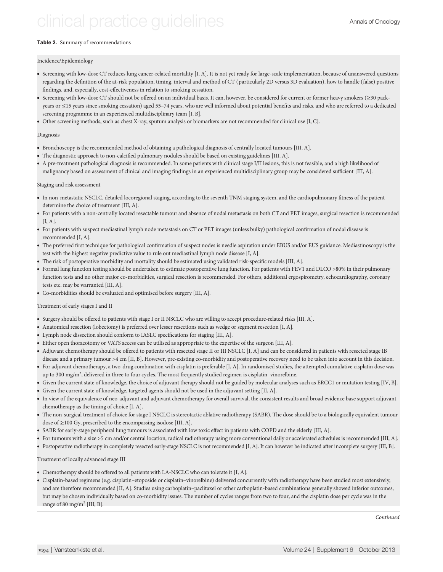# <span id="page-5-0"></span>clinical practice quidelines Annals of Oncology

#### Table 2. Summary of recommendations

#### Incidence/Epidemiology

- Screening with low-dose CT reduces lung cancer-related mortality [I, A]. It is not yet ready for large-scale implementation, because of unanswered questions regarding the definition of the at-risk population, timing, interval and method of CT (particularly 2D versus 3D evaluation), how to handle (false) positive findings, and, especially, cost-effectiveness in relation to smoking cessation.
- Screening with low-dose CT should not be offered on an individual basis. It can, however, be considered for current or former heavy smokers (≥30 packyears or ≤15 years since smoking cessation) aged 55–74 years, who are well informed about potential benefits and risks, and who are referred to a dedicated screening programme in an experienced multidisciplinary team [I, B].
- Other screening methods, such as chest X-ray, sputum analysis or biomarkers are not recommended for clinical use [I, C].

#### Diagnosis

- Bronchoscopy is the recommended method of obtaining a pathological diagnosis of centrally located tumours [III, A].
- The diagnostic approach to non-calcified pulmonary nodules should be based on existing guidelines [III, A].
- A pre-treatment pathological diagnosis is recommended. In some patients with clinical stage I/II lesions, this is not feasible, and a high likelihood of malignancy based on assessment of clinical and imaging findings in an experienced multidisciplinary group may be considered sufficient [III, A].

#### Staging and risk assessment

- In non-metastatic NSCLC, detailed locoregional staging, according to the seventh TNM staging system, and the cardiopulmonary fitness of the patient determine the choice of treatment [III, A].
- For patients with a non-centrally located resectable tumour and absence of nodal metastasis on both CT and PET images, surgical resection is recommended  $[I, A]$ .
- For patients with suspect mediastinal lymph node metastasis on CT or PET images (unless bulky) pathological confirmation of nodal disease is recommended [I, A].
- The preferred first technique for pathological confirmation of suspect nodes is needle aspiration under EBUS and/or EUS guidance. Mediastinoscopy is the test with the highest negative predictive value to rule out mediastinal lymph node disease [I, A].
- The risk of postoperative morbidity and mortality should be estimated using validated risk-specific models [III, A].
- Formal lung function testing should be undertaken to estimate postoperative lung function. For patients with FEV1 and DLCO >80% in their pulmonary function tests and no other major co-morbidities, surgical resection is recommended. For others, additional ergospirometry, echocardiography, coronary tests etc. may be warranted [III, A].
- Co-morbidities should be evaluated and optimised before surgery [III, A].

#### Treatment of early stages I and II

- Surgery should be offered to patients with stage I or II NSCLC who are willing to accept procedure-related risks [III, A].
- Anatomical resection (lobectomy) is preferred over lesser resections such as wedge or segment resection [I, A].
- Lymph node dissection should conform to IASLC specifications for staging [III, A].
- Either open thoracotomy or VATS access can be utilised as appropriate to the expertise of the surgeon [III, A].
- Adjuvant chemotherapy should be offered to patients with resected stage II or III NSCLC [I, A] and can be considered in patients with resected stage IB disease and a primary tumour >4 cm [II, B]. However, pre-existing co-morbidity and postoperative recovery need to be taken into account in this decision.
- For adjuvant chemotherapy, a two-drug combination with cisplatin is preferable [I, A]. In randomised studies, the attempted cumulative cisplatin dose was up to 300 mg/m², delivered in three to four cycles. The most frequently studied regimen is cisplatin–vinorelbine.
- Given the current state of knowledge, the choice of adjuvant therapy should not be guided by molecular analyses such as ERCC1 or mutation testing [IV, B].
- Given the current state of knowledge, targeted agents should not be used in the adjuvant setting [II, A].
- In view of the equivalence of neo-adjuvant and adjuvant chemotherapy for overall survival, the consistent results and broad evidence base support adjuvant chemotherapy as the timing of choice [I, A].
- The non-surgical treatment of choice for stage I NSCLC is stereotactic ablative radiotherapy (SABR). The dose should be to a biologically equivalent tumour dose of ≥100 Gy, prescribed to the encompassing isodose [III, A].
- SABR for early-stage peripheral lung tumours is associated with low toxic effect in patients with COPD and the elderly [III, A].
- For tumours with a size >5 cm and/or central location, radical radiotherapy using more conventional daily or accelerated schedules is recommended [III, A].
- Postoperative radiotherapy in completely resected early-stage NSCLC is not recommended [I, A]. It can however be indicated after incomplete surgery [III, B].

#### Treatment of locally advanced stage III

- Chemotherapy should be offered to all patients with LA-NSCLC who can tolerate it [I, A].
- Cisplatin-based regimens (e.g. cisplatin–etoposide or cisplatin–vinorelbine) delivered concurrently with radiotherapy have been studied most extensively, and are therefore recommended [II, A]. Studies using carboplatin–paclitaxel or other carboplatin-based combinations generally showed inferior outcomes, but may be chosen individually based on co-morbidity issues. The number of cycles ranges from two to four, and the cisplatin dose per cycle was in the range of 80 mg/m<sup>2</sup> [III, B].

Continued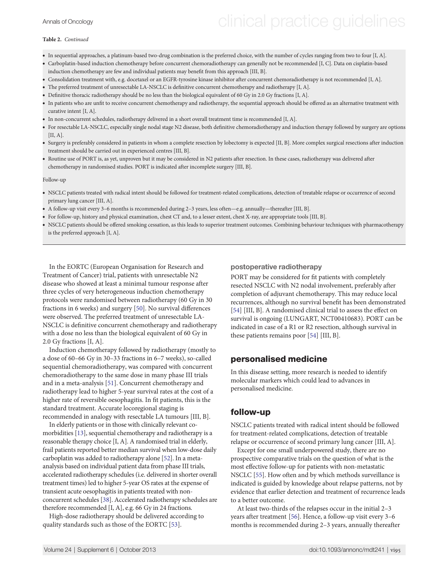#### Table 2. Continued

- In sequential approaches, a platinum-based two-drug combination is the preferred choice, with the number of cycles ranging from two to four [I, A].
- Carboplatin-based induction chemotherapy before concurrent chemoradiotherapy can generally not be recommended [I, C]. Data on cisplatin-based induction chemotherapy are few and individual patients may benefit from this approach [III, B].
- Consolidation treatment with, e.g. docetaxel or an EGFR-tyrosine kinase inhibitor after concurrent chemoradiotherapy is not recommended [I, A].
- The preferred treatment of unresectable LA-NSCLC is definitive concurrent chemotherapy and radiotherapy [I, A].
- Definitive thoracic radiotherapy should be no less than the biological equivalent of 60 Gy in 2.0 Gy fractions [I, A].
- In patients who are unfit to receive concurrent chemotherapy and radiotherapy, the sequential approach should be offered as an alternative treatment with curative intent [I, A].
- In non-concurrent schedules, radiotherapy delivered in a short overall treatment time is recommended [I, A].
- For resectable LA-NSCLC, especially single nodal stage N2 disease, both definitive chemoradiotherapy and induction therapy followed by surgery are options  $[II, A]$ .
- Surgery is preferably considered in patients in whom a complete resection by lobectomy is expected [II, B]. More complex surgical resections after induction treatment should be carried out in experienced centres [III, B].
- Routine use of PORT is, as yet, unproven but it may be considered in N2 patients after resection. In these cases, radiotherapy was delivered after chemotherapy in randomised studies. PORT is indicated after incomplete surgery [III, B].

#### Follow-up

- NSCLC patients treated with radical intent should be followed for treatment-related complications, detection of treatable relapse or occurrence of second primary lung cancer [III, A].
- A follow-up visit every 3–6 months is recommended during 2–3 years, less often—e.g. annually—thereafter [III, B].
- For follow-up, history and physical examination, chest CT and, to a lesser extent, chest X-ray, are appropriate tools [III, B].
- NSCLC patients should be offered smoking cessation, as this leads to superior treatment outcomes. Combining behaviour techniques with pharmacotherapy is the preferred approach [I, A].

In the EORTC (European Organisation for Research and Treatment of Cancer) trial, patients with unresectable N2 disease who showed at least a minimal tumour response after three cycles of very heterogeneous induction chemotherapy protocols were randomised between radiotherapy (60 Gy in 30 fractions in 6 weeks) and surgery [\[50](#page-9-0)]. No survival differences were observed. The preferred treatment of unresectable LA-NSCLC is definitive concurrent chemotherapy and radiotherapy with a dose no less than the biological equivalent of 60 Gy in 2.0 Gy fractions [I, A].

Induction chemotherapy followed by radiotherapy (mostly to a dose of 60–66 Gy in 30–33 fractions in 6–7 weeks), so-called sequential chemoradiotherapy, was compared with concurrent chemoradiotherapy to the same dose in many phase III trials and in a meta-analysis [[51\]](#page-9-0). Concurrent chemotherapy and radiotherapy lead to higher 5-year survival rates at the cost of a higher rate of reversible oesophagitis. In fit patients, this is the standard treatment. Accurate locoregional staging is recommended in analogy with resectable LA tumours [III, B].

In elderly patients or in those with clinically relevant comorbidities [[13](#page-8-0)], sequential chemotherapy and radiotherapy is a reasonable therapy choice [I, A]. A randomised trial in elderly, frail patients reported better median survival when low-dose daily carboplatin was added to radiotherapy alone [\[52](#page-9-0)]. In a metaanalysis based on individual patient data from phase III trials, accelerated radiotherapy schedules (i.e. delivered in shorter overall treatment times) led to higher 5-year OS rates at the expense of transient acute oesophagitis in patients treated with nonconcurrent schedules [\[38\]](#page-8-0). Accelerated radiotherapy schedules are therefore recommended [I, A], e.g. 66 Gy in 24 fractions.

High-dose radiotherapy should be delivered according to quality standards such as those of the EORTC [[53\]](#page-9-0).

### postoperative radiotherapy

PORT may be considered for fit patients with completely resected NSCLC with N2 nodal involvement, preferably after completion of adjuvant chemotherapy. This may reduce local recurrences, although no survival benefit has been demonstrated [\[54](#page-9-0)] [III, B]. A randomised clinical trial to assess the effect on survival is ongoing (LUNGART, NCT00410683). PORT can be indicated in case of a R1 or R2 resection, although survival in these patients remains poor [\[54](#page-9-0)] [III, B].

## personalised medicine

In this disease setting, more research is needed to identify molecular markers which could lead to advances in personalised medicine.

## follow-up

NSCLC patients treated with radical intent should be followed for treatment-related complications, detection of treatable relapse or occurrence of second primary lung cancer [III, A].

Except for one small underpowered study, there are no prospective comparative trials on the question of what is the most effective follow-up for patients with non-metastatic NSCLC [\[55\]](#page-9-0). How often and by which methods surveillance is indicated is guided by knowledge about relapse patterns, not by evidence that earlier detection and treatment of recurrence leads to a better outcome.

At least two-thirds of the relapses occur in the initial 2–3 years after treatment [\[56](#page-9-0)]. Hence, a follow-up visit every 3–6 months is recommended during 2–3 years, annually thereafter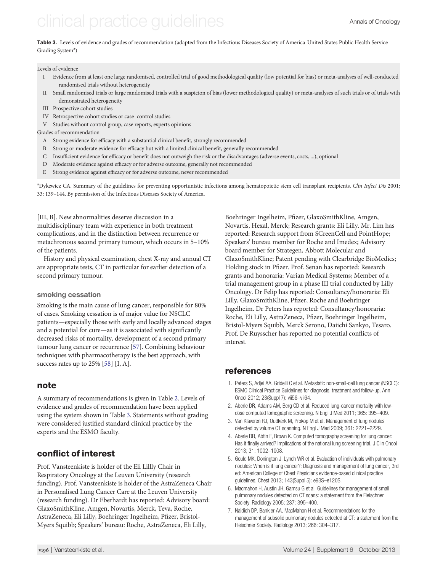## <span id="page-7-0"></span>clinical practice quidelines and annus of Oncology

Table 3. Levels of evidence and grades of recommendation (adapted from the Infectious Diseases Society of America-United States Public Health Service Grading System<sup>a</sup>)

#### Levels of evidence

- I Evidence from at least one large randomised, controlled trial of good methodological quality (low potential for bias) or meta-analyses of well-conducted randomised trials without heterogeneity
- II Small randomised trials or large randomised trials with a suspicion of bias (lower methodological quality) or meta-analyses of such trials or of trials with demonstrated heterogeneity
- III Prospective cohort studies
- IV Retrospective cohort studies or case–control studies
- V Studies without control group, case reports, experts opinions

Grades of recommendation

- A Strong evidence for efficacy with a substantial clinical benefit, strongly recommended
- B Strong or moderate evidence for efficacy but with a limited clinical benefit, generally recommended
- C Insufficient evidence for efficacy or benefit does not outweigh the risk or the disadvantages (adverse events, costs, ...), optional
- D Moderate evidence against efficacy or for adverse outcome, generally not recommended
- E Strong evidence against efficacy or for adverse outcome, never recommended

<sup>a</sup>Dykewicz CA. Summary of the guidelines for preventing opportunistic infections among hematopoietic stem cell transplant recipients. Clin Infect Dis 2001; 33: 139–144. By permission of the Infectious Diseases Society of America.

[III, B]. New abnormalities deserve discussion in a multidisciplinary team with experience in both treatment complications, and in the distinction between recurrence or metachronous second primary tumour, which occurs in 5–10% of the patients.

History and physical examination, chest X-ray and annual CT are appropriate tests, CT in particular for earlier detection of a second primary tumour.

#### smoking cessation

Smoking is the main cause of lung cancer, responsible for 80% of cases. Smoking cessation is of major value for NSCLC patients—especially those with early and locally advanced stages and a potential for cure—as it is associated with significantly decreased risks of mortality, development of a second primary tumour lung cancer or recurrence [[57\]](#page-9-0). Combining behaviour techniques with pharmacotherapy is the best approach, with success rates up to 25% [\[58](#page-9-0)] [I, A].

### note

A summary of recommendations is given in Table [2.](#page-5-0) Levels of evidence and grades of recommendation have been applied using the system shown in Table 3. Statements without grading were considered justified standard clinical practice by the experts and the ESMO faculty.

## conflict of interest

Prof. Vansteenkiste is holder of the Eli Lillly Chair in Respiratory Oncology at the Leuven University (research funding). Prof. Vansteenkiste is holder of the AstraZeneca Chair in Personalised Lung Cancer Care at the Leuven University (research funding). Dr Eberhardt has reported: Advisory board: GlaxoSmithKline, Amgen, Novartis, Merck, Teva, Roche, AstraZeneca, Eli Lilly, Boehringer Ingelheim, Pfizer, Bristol-Myers Squibb; Speakers' bureau: Roche, AstraZeneca, Eli Lilly,

Boehringer Ingelheim, Pfizer, GlaxoSmithKline, Amgen, Novartis, Hexal, Merck; Research grants: Eli Lilly. Mr. Lim has reported: Research support from SCreenCell and PointHope; Speakers' bureau member for Roche and Imedex; Advisory board member for Strategen, Abbott Molecular and GlaxoSmithKline; Patent pending with Clearbridge BioMedics; Holding stock in Pfizer. Prof. Senan has reported: Research grants and honoraria: Varian Medical Systems; Member of a trial management group in a phase III trial conducted by Lilly Oncology. Dr Felip has reported: Consultancy/honoraria: Eli Lilly, GlaxoSmithKline, Pfizer, Roche and Boehringer Ingelheim. Dr Peters has reported: Consultancy/honoraria: Roche, Eli Lilly, AstraZeneca, Pfizer, Boehringer Ingelheim, Bristol-Myers Squibb, Merck Serono, Daiichi Sankyo, Tesaro. Prof. De Ruysscher has reported no potential conflicts of interest.

### references

- 1. Peters S, Adjei AA, Gridelli C et al. Metastatic non-small-cell lung cancer (NSCLC): ESMO Clinical Practice Guidelines for diagnosis, treatment and follow-up. Ann Oncol 2012; 23(Suppl 7): vii56–vii64.
- 2. Aberle DR, Adams AM, Berg CD et al. Reduced lung-cancer mortality with lowdose computed tomographic screening. N Engl J Med 2011; 365: 395–409.
- 3. Van Klaveren RJ, Oudkerk M, Prokop M et al. Management of lung nodules detected by volume CT scanning. N Engl J Med 2009; 361: 2221–2229.
- 4. Aberle DR, Abtin F, Brown K. Computed tomography screening for lung cancer: Has it finally arrived? Implications of the national lung screening trial. J Clin Oncol 2013; 31: 1002–1008.
- 5. Gould MK, Donington J, Lynch WR et al. Evaluation of individuals with pulmonary nodules: When is it lung cancer?: Diagnosis and management of lung cancer, 3rd ed: American College of Chest Physicians evidence-based clinical practice guidelines. Chest 2013; 143(Suppl 5): e93S–e120S.
- 6. Macmahon H, Austin JH, Gamsu G et al. Guidelines for management of small pulmonary nodules detected on CT scans: a statement from the Fleischner Society. Radiology 2005; 237: 395–400.
- 7. Naidich DP, Bankier AA, MacMahon H et al. Recommendations for the management of subsolid pulmonary nodules detected at CT: a statement from the Fleischner Society. Radiology 2013; 266: 304–317.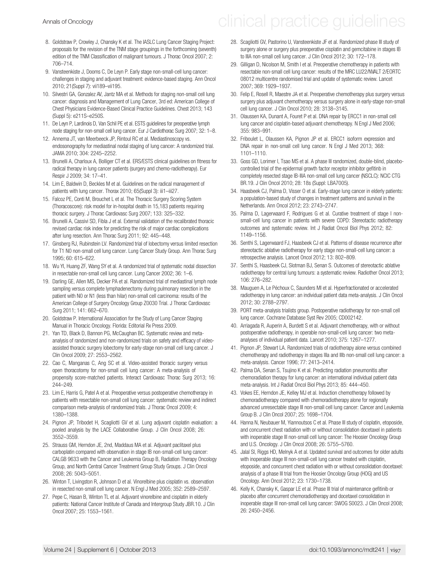- <span id="page-8-0"></span>8. Goldstraw P, Crowley J, Chansky K et al. The IASLC Lung Cancer Staging Project: proposals for the revision of the TNM stage groupings in the forthcoming (seventh) edition of the TNM Classification of malignant tumours. J Thorac Oncol 2007; 2: 706–714.
- 9. Vansteenkiste J, Dooms C, De Leyn P. Early stage non-small-cell lung cancer: challenges in staging and adjuvant treatment: evidence-based staging. Ann Oncol 2010; 21(Suppl 7): vii189–vii195.
- 10. Silvestri GA, Gonzalez AV, Jantz MA et al. Methods for staging non-small cell lung cancer: diagnosis and Management of Lung Cancer, 3rd ed: American College of Chest Physicians Evidence-Based Clinical Practice Guidelines. Chest 2013; 143 (Suppl 5): e211S–e250S.
- 11. De Leyn P, Lardinois D, Van Schil PE et al. ESTS guidelines for preoperative lymph node staging for non-small cell lung cancer. Eur J Cardiothorac Surg 2007; 32: 1–8.
- 12. Annema JT, van Meerbeeck JP, Rintoul RC et al. Mediastinoscopy vs. endosonography for mediastinal nodal staging of lung cancer: A randomized trial. JAMA 2010; 304: 2245–2252.
- 13. Brunelli A, Charloux A, Bolliger CT et al. ERS/ESTS clinical guidelines on fitness for radical therapy in lung cancer patients (surgery and chemo-radiotherapy). Eur Respir J 2009; 34: 17–41.
- 14. Lim E, Baldwin D, Beckles M et al. Guidelines on the radical management of patients with lung cancer. Thorax 2010; 65(Suppl 3): iii1-iii27.
- 15. Falcoz PE, Conti M, Brouchet L et al. The Thoracic Surgery Scoring System (Thoracoscore): risk model for in-hospital death in 15,183 patients requiring thoracic surgery. J Thorac Cardiovasc Surg 2007; 133: 325–332.
- 16. Brunelli A, Cassivi SD, Fibla J et al. External validation of the recalibrated thoracic revised cardiac risk index for predicting the risk of major cardiac complications after lung resection. Ann Thorac Surg 2011; 92: 445–448.
- 17. Ginsberg RJ, Rubinstein LV. Randomized trial of lobectomy versus limited resection for T1 N0 non-small cell lung cancer. Lung Cancer Study Group. Ann Thorac Surg 1995; 60: 615–622.
- 18. Wu YI, Huang ZF, Wang SY et al. A randomized trial of systematic nodal dissection in resectable non-small cell lung cancer. Lung Cancer 2002; 36: 1–6.
- 19. Darling GE, Allen MS, Decker PA et al. Randomized trial of mediastinal lymph node sampling versus complete lymphadenectomy during pulmonary resection in the patient with N0 or N1 (less than hilar) non-small cell carcinoma: results of the American College of Surgery Oncology Group Z0030 Trial. J Thorac Cardiovasc Surg 2011; 141: 662–670.
- 20. Goldstraw P. International Association for the Study of Lung Cancer Staging Manual in Thoracic Oncology. Florida: Editorial Rx Press 2009.
- 21. Yan TD, Black D, Bannon PG, McCaughan BC. Systematic review and metaanalysis of randomized and non-randomized trials on safety and efficacy of videoassisted thoracic surgery lobectomy for early-stage non-small cell lung cancer. J Clin Oncol 2009; 27: 2553–2562.
- 22. Cao C, Manganas C, Ang SC et al. Video-assisted thoracic surgery versus open thoracotomy for non-small cell lung cancer: A meta-analysis of propensity score-matched patients. Interact Cardiovasc Thorac Surg 2013; 16: 244–249.
- 23. Lim E, Harris G, Patel A et al. Preoperative versus postoperative chemotherapy in patients with resectable non-small cell lung cancer: systematic review and indirect comparison meta-analysis of randomized trials. J Thorac Oncol 2009; 4: 1380–1388.
- 24. Pignon JP, Tribodet H, Scagliotti GV et al. Lung adjuvant cisplatin evaluation: a pooled analysis by the LACE Collaborative Group. J Clin Oncol 2008; 26: 3552–3559.
- 25. Strauss GM, Herndon JE, 2nd, Maddaus MA et al. Adjuvant paclitaxel plus carboplatin compared with observation in stage IB non-small-cell lung cancer: CALGB 9633 with the Cancer and Leukemia Group B, Radiation Therapy Oncology Group, and North Central Cancer Treatment Group Study Groups. J Clin Oncol 2008; 26: 5043–5051.
- 26. Winton T, Livingston R, Johnson D et al. Vinorelbine plus cisplatin vs. observation in resected non-small cell lung cancer. N Engl J Med 2005; 352: 2589–2597.
- 27. Pepe C, Hasan B, Winton TL et al. Adjuvant vinorelbine and cisplatin in elderly patients: National Cancer Institute of Canada and Intergroup Study JBR.10. J Clin Oncol 2007; 25: 1553–1561.
- 28. Scagliotti GV, Pastorino U, Vansteenkiste JF et al. Randomized phase III study of surgery alone or surgery plus preoperative cisplatin and gemcitabine in stages IB to IIIA non-small cell lung cancer. J Clin Oncol 2012; 30: 172–178.
- 29. Gilligan D, Nicolson M, Smith I et al. Preoperative chemotherapy in patients with resectable non-small cell lung cancer: results of the MRC LU22/NVALT 2/EORTC 08012 multicentre randomised trial and update of systematic review. Lancet 2007; 369: 1929–1937.
- 30. Felip E, Rosell R, Maestre JA et al. Preoperative chemotherapy plus surgery versus surgery plus adjuvant chemotherapy versus surgery alone in early-stage non-small cell lung cancer. J Clin Oncol 2010; 28: 3138–3145.
- 31. Olaussen KA, Dunant A, Fouret P et al. DNA repair by ERCC1 in non-small cell lung cancer and cisplatin-based adjuvant chemotherapy. N Engl J Med 2006; 355: 983–991.
- 32. Friboulet L, Olaussen KA, Pignon JP et al. ERCC1 isoform expression and DNA repair in non-small cell lung cancer. N Engl J Med 2013; 368: 1101–1110.
- 33. Goss GD, Lorimer I, Tsao MS et al. A phase III randomized, double-blind, placebocontrolled trial of the epidermal growth factor receptor inhibitor gefitinb in completely resected stage IB-IIIA non-small cell lung cancer (NSCLC): NCIC CTG BR.19. J Clin Oncol 2010; 28: 18s (Suppl: LBA7005).
- 34. Haasbeek CJ, Palma D, Visser O et al. Early-stage lung cancer in elderly patients: a population-based study of changes in treatment patterns and survival in the Netherlands. Ann Oncol 2012; 23: 2743–2747.
- 35. Palma D, Lagerwaard F, Rodrigues G et al. Curative treatment of stage I nonsmall-cell lung cancer in patients with severe COPD: Stereotactic radiotherapy outcomes and systematic review. Int J Radiat Oncol Biol Phys 2012; 82: 1149–1156.
- 36. Senthi S, Lagerwaard FJ, Haasbeek CJ et al. Patterns of disease recurrence after stereotactic ablative radiotherapy for early stage non-small-cell lung cancer: a retrospective analysis. Lancet Oncol 2012; 13: 802–809.
- 37. Senthi S, Haasbeek CJ, Slotman BJ, Senan S. Outcomes of stereotactic ablative radiotherapy for central lung tumours: a systematic review. Radiother Oncol 2013; 106: 276–282.
- 38. Mauguen A, Le Péchoux C, Saunders MI et al. Hyperfractionated or accelerated radiotherapy in lung cancer: an individual patient data meta-analysis. J Clin Oncol 2012; 30: 2788–2797.
- 39. PORT meta-analysis trialists group. Postoperative radiotherapy for non-small cell lung cancer. Cochrane Database Syst Rev 2005; CD002142.
- 40. Arriagada R, Auperin A, Burdett S et al. Adjuvant chemotherapy, with or without postoperative radiotherapy, in operable non-small-cell lung cancer: two metaanalyses of individual patient data. Lancet 2010; 375: 1267–1277.
- 41. Pignon JP, Stewart LA. Randomized trials of radiotherapy alone versus combined chemotherapy and radiotherapy in stages IIIa and IIIb non-small cell lung cancer: a meta-analysis. Cancer 1996; 77: 2413–2414.
- 42. Palma DA, Senan S, Tsujino K et al. Predicting radiation pneumonitis after chemoradiation therapy for lung cancer: an international individual patient data meta-analysis. Int J Radiat Oncol Biol Phys 2013; 85: 444–450.
- 43. Vokes EE, Herndon JE, Kelley MJ et al. Induction chemotherapy followed by chemoradiotherapy compared with chemoradiotherapy alone for regionally advanced unresectable stage III non-small cell lung cancer: Cancer and Leukemia Group B. J Clin Oncol 2007; 25: 1698–1704.
- 44. Hanna N, Neubauer M, Yiannoutsos C et al. Phase III study of cisplatin, etoposide, and concurrent chest radiation with or without consolidation docetaxel in patients with inoperable stage III non-small cell lung cancer: The Hoosier Oncology Group and U.S. Oncology. J Clin Oncol 2008; 26: 5755–5760.
- 45. Jalal SI, Riggs HD, Melnyk A et al. Updated survival and outcomes for older adults with inoperable stage III non-small-cell lung cancer treated with cisplatin, etoposide, and concurrent chest radiation with or without consolidation docetaxel: analysis of a phase III trial from the Hoosier Oncology Group (HOG) and US Oncology. Ann Oncol 2012; 23: 1730–1738.
- 46. Kelly K, Chansky K, Gaspar LE et al. Phase III trial of maintenance gefitinib or placebo after concurrent chemoradiotherapy and docetaxel consolidation in inoperable stage III non-small cell lung cancer: SWOG S0023. J Clin Oncol 2008; 26: 2450–2456.